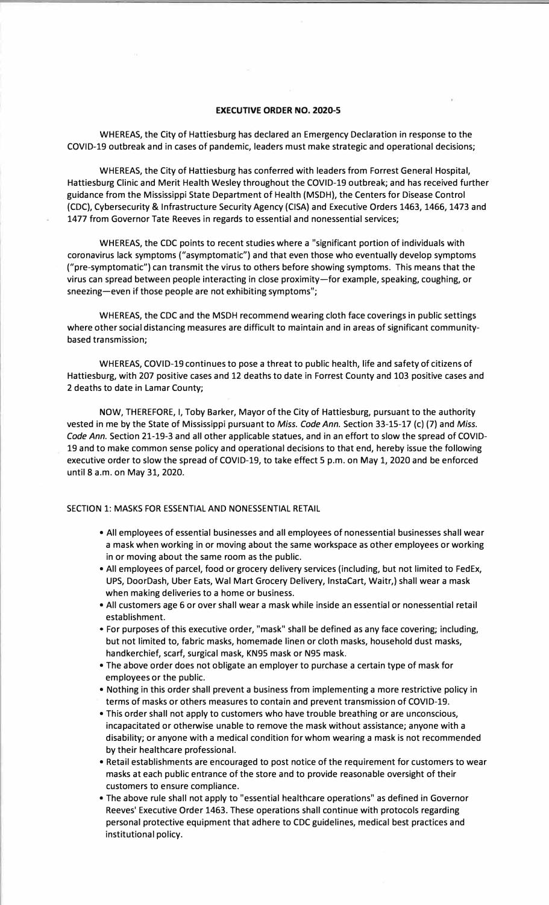## **EXECUTIVE ORDER NO. 2020-5**

WHEREAS, the City of Hattiesburg has declared an Emergency Declaration in response to the COVID-19 outbreak and in cases of pandemic, leaders must make strategic and operational decisions;

WHEREAS, the City of Hattiesburg has conferred with leaders from Forrest General Hospital, Hattiesburg Clinic and Merit Health Wesley throughout the COVID-19 outbreak; and has received further guidance from the Mississippi State Department of Health (MSDH), the Centers for Disease Control (CDC), Cybersecurity & Infrastructure Security Agency (CISA) and Executive Orders 1463, 1466, 1473 and 1477 from Governor Tate Reeves in regards to essential and nonessential services;

WHEREAS, the CDC points to recent studies where a "significant portion of individuals with coronavirus lack symptoms ("asymptomatic") and that even those who eventually develop symptoms ("pre-symptomatic") can transmit the virus to others before showing symptoms. This means that the virus can spread between people interacting in close proximity-for example, speaking, coughing, or sneezing-even if those people are not exhibiting symptoms";

WHEREAS, the CDC and the MSDH recommend wearing cloth face coverings in public settings where other social distancing measures are difficult to maintain and in areas of significant communitybased transmission;

WHEREAS, COVID-19 continues to pose a threat to public health, life and safety of citizens of Hattiesburg, with 207 positive cases and 12 deaths to date in Forrest County and 103 positive cases and 2 deaths to date in Lamar County;

**NOW,** THEREFORE, I, Toby Barker, Mayor of the City of Hattiesburg, pursuant to the authority vested in me by the State of Mississippi pursuant to *Miss. Code Ann.* Section 33-15-17 (c) (7) and *Miss. Code Ann.* Section 21-19-3 and all other applicable statues, and in an effort to slow the spread of COVID-19 and to make common sense policy and operational decisions to that end, hereby issue the following executive order to slow the spread of COVID-19, to take effect 5 p.m. on May 1, 2020 and be enforced until 8 a.m. on May 31, 2020.

### SECTION 1: MASKS FOR ESSENTIAL AND NONESSENTIAL RETAIL

- All employees of essential businesses and all employees of nonessential businesses shall wear a mask when working in or moving about the same workspace as other employees or working in or moving about the same room as the public.
- All employees of parcel, food or grocery delivery services (including, but not limited to FedEx, UPS, DoorDash, Uber Eats, Wal Mart Grocery Delivery, lnstaCart, Waitr,) shall wear a mask when making deliveries to a home or business.
- All customers age 6 or over shall wear a mask while inside an essential or nonessential retail establishment.
- For purposes of this executive order, "mask" shall be defined as any face covering; including, but not limited to, fabric masks, homemade linen or cloth masks, household dust masks, handkerchief, scarf, surgical mask, KN95 mask or N95 mask.
- The above order does not obligate an employer to purchase a certain type of mask for employees or the public.
- Nothing in this order shall prevent a business from implementing a more restrictive policy in
- terms of masks or others measures to contain and prevent transmission of COVID-19. • This order shall not apply to customers who have trouble breathing or are unconscious, incapacitated or otherwise unable to remove the mask without assistance; anyone with a
- disability; or anyone with a medical condition for whom wearing a mask is not recommended by their healthcare professional.
- Retail establishments are encouraged to post notice of the requirement for customers to wear masks at each public entrance of the store and to provide reasonable oversight of their customers to ensure compliance.
- The above rule shall not apply to "essential healthcare operations" as defined in Governor Reeves' Executive Order 1463. These operations shall continue with protocols regarding personal protective equipment that adhere to CDC guidelines, medical best practices and institutional policy.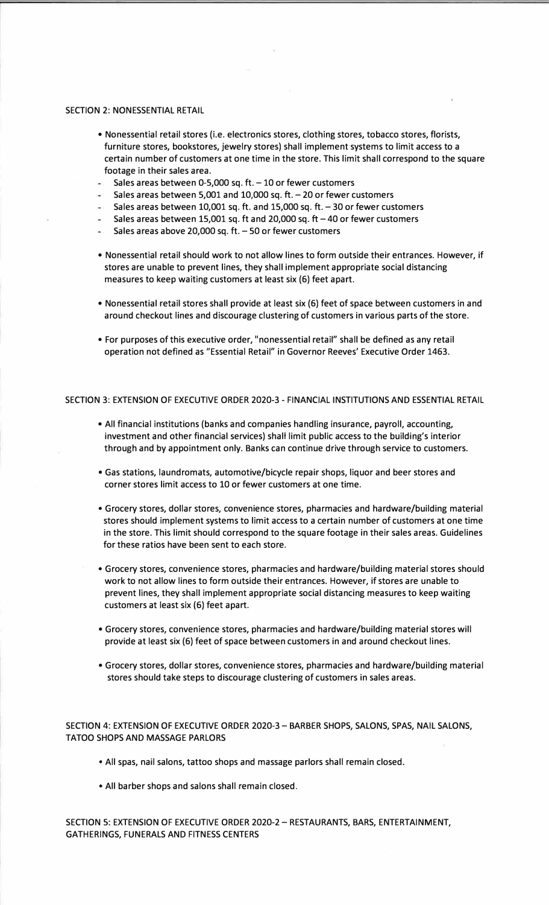## SECTION 2: NONESSENTIAL RETAIL

- Nonessential retail stores (i.e. electronics stores, clothing stores, tobacco stores, florists, furniture stores, bookstores, jewelry stores) shall implement systems to limit access to a certain number of customers at one time in the store. This limit shall correspond to the square footage in their sales area.
- $\approx$  Sales areas between 0-5,000 sq. ft.  $-10$  or fewer customers
- $\approx$  Sales areas between 5,001 and 10,000 sq. ft. 20 or fewer customers
- Sales areas between 10,001 sq. ft. and 15,000 sq. ft.  $-$  30 or fewer customers
- Sales areas between 15,001 sq. ft and 20,000 sq. ft  $-40$  or fewer customers
- $\approx$  Sales areas above 20,000 sq. ft.  $-50$  or fewer customers
- Nonessential retail should work to not allow lines to form outside their entrances. However, if stores are unable to prevent lines, they shall implement appropriate social distancing measures to keep waiting customers at least six (6) feet apart.
- Nonessential retail stores shall provide at least six (6) feet of space between customers in and around checkout lines and discourage clustering of customers in various parts of the store.
- For purposes of this executive order, "nonessential retail" shall be defined as any retail operation not defined as "Essential Retail" in Governor Reeves' Executive Order 1463.

SECTION 3: EXTENSION OF EXECUTIVE ORDER 2020-3 - FINANCIAL INSTITUTIONS AND ESSENTIAL RETAIL

- All financial institutions (banks and companies handling insurance, payroll, accounting, investment and other financial services) shall limit public access to the building's interior through and by appointment only. Banks can continue drive through service to customers.
- Gas stations, laundromats, automotive/bicycle repair shops, liquor and beer stores and corner stores limit access to 10 or fewer customers at one time.
- Grocery stores, dollar stores, convenience stores, pharmacies and hardware/building material stores should implement systems to limit access to a certain number of customers at one time in the store. This limit should correspond to the square footage in their sales areas. Guidelines for these ratios have been sent to each store.
- Grocery stores, convenience stores, pharmacies and hardware/building material stores should work to not allow lines to form outside their entrances. However, if stores are unable to prevent lines, they shall implement appropriate social distancing measures to keep waiting customers at least six (6) feet apart.
- Grocery stores, convenience stores, pharmacies and hardware/building material stores will provide at least six (6) feet of space between customers in and around checkout lines.
- Grocery stores, dollar stores, convenience stores, pharmacies and hardware/building material stores should take steps to discourage clustering of customers in sales areas.

SECTION 4: EXTENSION OF EXECUTIVE ORDER 2020-3 - BARBER SHOPS, SALONS, SPAS, NAIL SALONS, TATOO SHOPS AND MASSAGE PARLORS

- All spas, nail salons, tattoo shops and massage parlors shall remain closed.
- All barber shops and salons shall remain closed.

SECTION 5: EXTENSION OF EXECUTIVE ORDER 2020-2 - RESTAURANTS, BARS, ENTERTAINMENT, GATHERINGS, FUNERALS AND FITNESS CENTERS